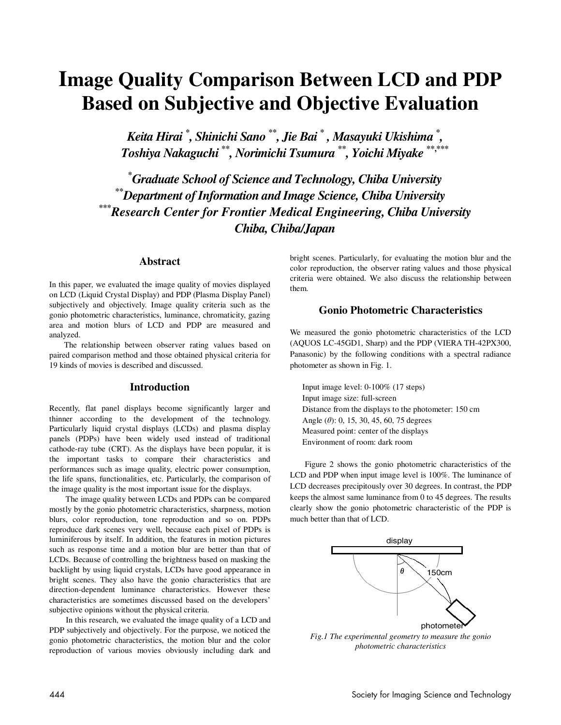# **Image Quality Comparison Between LCD and PDP Based on Subjective and Objective Evaluation**

*Keita Hirai \* , Shinichi Sano* **\*\****, Jie Bai* **\***  *, Masayuki Ukishima* **\*** *, Toshiya Nakaguchi* **\*\****, Norimichi Tsumura* **\*\****, Yoichi Miyake* **\*\*,\*\*\*** 

**\*** *Graduate School of Science and Technology, Chiba University* **\*\****Department of Information and Image Science, Chiba University* **\*\*\****Research Center for Frontier Medical Engineering, Chiba University Chiba, Chiba/Japan* 

# **Abstract**

In this paper, we evaluated the image quality of movies displayed on LCD (Liquid Crystal Display) and PDP (Plasma Display Panel) subjectively and objectively. Image quality criteria such as the gonio photometric characteristics, luminance, chromaticity, gazing area and motion blurs of LCD and PDP are measured and analyzed.

The relationship between observer rating values based on paired comparison method and those obtained physical criteria for 19 kinds of movies is described and discussed.

# **Introduction**

Recently, flat panel displays become significantly larger and thinner according to the development of the technology. Particularly liquid crystal displays (LCDs) and plasma display panels (PDPs) have been widely used instead of traditional cathode-ray tube (CRT). As the displays have been popular, it is the important tasks to compare their characteristics and performances such as image quality, electric power consumption, the life spans, functionalities, etc. Particularly, the comparison of the image quality is the most important issue for the displays.

The image quality between LCDs and PDPs can be compared mostly by the gonio photometric characteristics, sharpness, motion blurs, color reproduction, tone reproduction and so on. PDPs reproduce dark scenes very well, because each pixel of PDPs is luminiferous by itself. In addition, the features in motion pictures such as response time and a motion blur are better than that of LCDs. Because of controlling the brightness based on masking the backlight by using liquid crystals, LCDs have good appearance in bright scenes. They also have the gonio characteristics that are direction-dependent luminance characteristics. However these characteristics are sometimes discussed based on the developers' subjective opinions without the physical criteria.

In this research, we evaluated the image quality of a LCD and PDP subjectively and objectively. For the purpose, we noticed the gonio photometric characteristics, the motion blur and the color reproduction of various movies obviously including dark and bright scenes. Particularly, for evaluating the motion blur and the color reproduction, the observer rating values and those physical criteria were obtained. We also discuss the relationship between them.

# **Gonio Photometric Characteristics**

We measured the gonio photometric characteristics of the LCD (AQUOS LC-45GD1, Sharp) and the PDP (VIERA TH-42PX300, Panasonic) by the following conditions with a spectral radiance photometer as shown in Fig. 1.

Input image level: 0-100% (17 steps) Input image size: full-screen Distance from the displays to the photometer: 150 cm Angle  $(\theta)$ : 0, 15, 30, 45, 60, 75 degrees Measured point: center of the displays Environment of room: dark room

Figure 2 shows the gonio photometric characteristics of the LCD and PDP when input image level is 100%. The luminance of LCD decreases precipitously over 30 degrees. In contrast, the PDP keeps the almost same luminance from 0 to 45 degrees. The results clearly show the gonio photometric characteristic of the PDP is much better than that of LCD.



*Fig.1 The experimental geometry to measure the gonio photometric characteristics*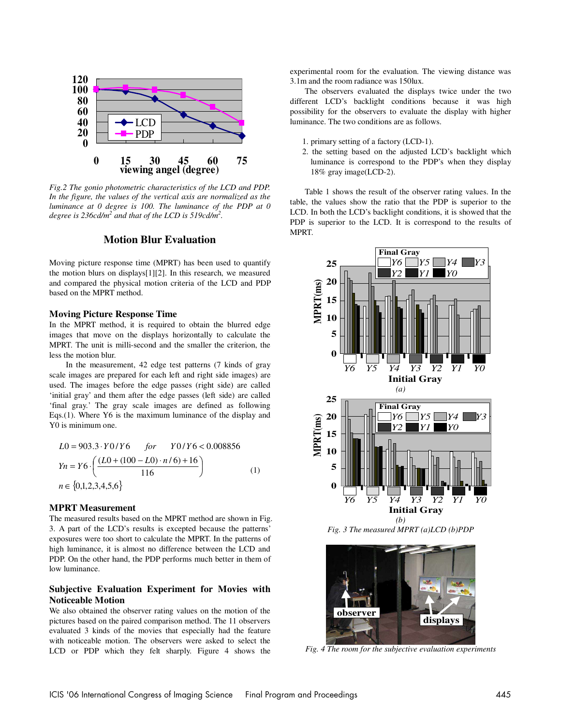

*Fig.2 The gonio photometric characteristics of the LCD and PDP. In the figure, the values of the vertical axis are normalized as the luminance at 0 degree is 100. The luminance of the PDP at 0*  degree is 236cd/m<sup>2</sup> and that of the LCD is 519cd/m<sup>2</sup>.

## **Motion Blur Evaluation**

Moving picture response time (MPRT) has been used to quantify the motion blurs on displays[1][2]. In this research, we measured and compared the physical motion criteria of the LCD and PDP based on the MPRT method.

#### **Moving Picture Response Time**

In the MPRT method, it is required to obtain the blurred edge images that move on the displays horizontally to calculate the MPRT. The unit is milli-second and the smaller the criterion, the less the motion blur.

In the measurement, 42 edge test patterns (7 kinds of gray scale images are prepared for each left and right side images) are used. The images before the edge passes (right side) are called 'initial gray' and them after the edge passes (left side) are called 'final gray.' The gray scale images are defined as following Eqs.(1). Where Y6 is the maximum luminance of the display and Y0 is minimum one.

$$
L0 = 903.3 \cdot Y0/Y6 \quad \text{for} \quad Y0/Y6 < 0.008856
$$
\n
$$
Yn = Y6 \cdot \left( \frac{(L0 + (100 - L0) \cdot n/6) + 16}{116} \right) \tag{1}
$$
\n
$$
n \in \{0, 1, 2, 3, 4, 5, 6\}
$$

## **MPRT Measurement**

The measured results based on the MPRT method are shown in Fig. 3. A part of the LCD's results is excepted because the patterns' exposures were too short to calculate the MPRT. In the patterns of high luminance, it is almost no difference between the LCD and PDP. On the other hand, the PDP performs much better in them of low luminance.

## **Subjective Evaluation Experiment for Movies with Noticeable Motion**

We also obtained the observer rating values on the motion of the pictures based on the paired comparison method. The 11 observers evaluated 3 kinds of the movies that especially had the feature with noticeable motion. The observers were asked to select the LCD or PDP which they felt sharply. Figure 4 shows the experimental room for the evaluation. The viewing distance was 3.1m and the room radiance was 150lux.

The observers evaluated the displays twice under the two different LCD's backlight conditions because it was high possibility for the observers to evaluate the display with higher luminance. The two conditions are as follows.

- 1. primary setting of a factory (LCD-1).
- 2. the setting based on the adjusted LCD's backlight which luminance is correspond to the PDP's when they display 18% gray image(LCD-2).

Table 1 shows the result of the observer rating values. In the table, the values show the ratio that the PDP is superior to the LCD. In both the LCD's backlight conditions, it is showed that the PDP is superior to the LCD. It is correspond to the results of MPRT.



*Fig. 3 The measured MPRT (a)LCD (b)PDP* 



*Fig. 4 The room for the subjective evaluation experiments*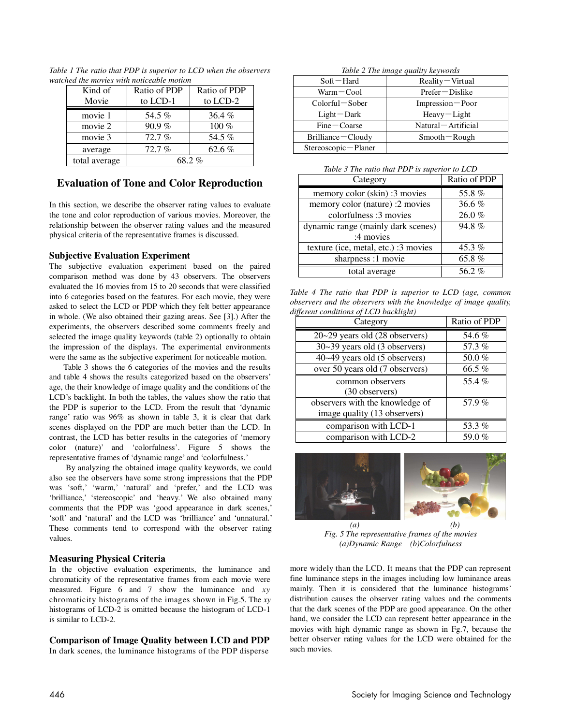| Kind of       | Ratio of PDP | Ratio of PDP |
|---------------|--------------|--------------|
| Movie         | to LCD-1     | to LCD-2     |
| movie 1       | 54.5%        | 36.4 $%$     |
| movie 2       | 90.9%        | $100\%$      |
| movie 3       | 72.7%        | 54.5%        |
| average       | 72.7%        | 62.6 $%$     |
| total average | 68.2%        |              |

*Table 1 The ratio that PDP is superior to LCD when the observers watched the movies with noticeable motion* 

# **Evaluation of Tone and Color Reproduction**

In this section, we describe the observer rating values to evaluate the tone and color reproduction of various movies. Moreover, the relationship between the observer rating values and the measured physical criteria of the representative frames is discussed.

## **Subjective Evaluation Experiment**

The subjective evaluation experiment based on the paired comparison method was done by 43 observers. The observers evaluated the 16 movies from 15 to 20 seconds that were classified into 6 categories based on the features. For each movie, they were asked to select the LCD or PDP which they felt better appearance in whole. (We also obtained their gazing areas. See [3].) After the experiments, the observers described some comments freely and selected the image quality keywords (table 2) optionally to obtain the impression of the displays. The experimental environments were the same as the subjective experiment for noticeable motion.

Table 3 shows the 6 categories of the movies and the results and table 4 shows the results categorized based on the observers' age, the their knowledge of image quality and the conditions of the LCD's backlight. In both the tables, the values show the ratio that the PDP is superior to the LCD. From the result that 'dynamic range' ratio was 96% as shown in table 3, it is clear that dark scenes displayed on the PDP are much better than the LCD. In contrast, the LCD has better results in the categories of 'memory color (nature)' and 'colorfulness'. Figure 5 shows the representative frames of 'dynamic range' and 'colorfulness.'

By analyzing the obtained image quality keywords, we could also see the observers have some strong impressions that the PDP was 'soft,' 'warm,' 'natural' and 'prefer,' and the LCD was 'brilliance,' 'stereoscopic' and 'heavy.' We also obtained many comments that the PDP was 'good appearance in dark scenes,' 'soft' and 'natural' and the LCD was 'brilliance' and 'unnatural.' These comments tend to correspond with the observer rating values.

# **Measuring Physical Criteria**

In the objective evaluation experiments, the luminance and chromaticity of the representative frames from each movie were measured. Figure 6 and 7 show the luminance and *xy* chromaticity histograms of the images shown in Fig.5. The *xy* histograms of LCD-2 is omitted because the histogram of LCD-1 is similar to LCD-2.

# **Comparison of Image Quality between LCD and PDP**

In dark scenes, the luminance histograms of the PDP disperse

*Table 2 The image quality keywords* 

| $Soft - Hard$         | $Reality-Virtual$    |
|-----------------------|----------------------|
| Warm-Cool             | $Prefer-Dislike$     |
| Colorful-Sober        | Impression-Poor      |
| $Light$ $Dark$        | $Heavy$ – Light      |
| $Fine-Coarse$         | Natural – Artificial |
| $Brilliance - Cloudy$ | $Smooth-Rough$       |
| Stereoscopic-Planer   |                      |

*Table 3 The ratio that PDP is superior to LCD* 

| Category                             | Ratio of PDP |
|--------------------------------------|--------------|
| memory color (skin) :3 movies        | 55.8%        |
| memory color (nature) :2 movies      | 36.6 $%$     |
| colorfulness: 3 movies               | 26.0%        |
| dynamic range (mainly dark scenes)   | 94.8%        |
| :4 movies                            |              |
| texture (ice, metal, etc.) :3 movies | $45.3\%$     |
| sharpness :1 movie                   | 65.8 $%$     |
| total average                        | 56.2 $%$     |

*Table 4 The ratio that PDP is superior to LCD (age, common observers and the observers with the knowledge of image quality, different conditions of LCD backlight)*

| Category                        | Ratio of PDP |
|---------------------------------|--------------|
| 20~29 years old (28 observers)  | 54.6%        |
| 30~39 years old (3 observers)   | 57.3%        |
| 40~49 years old (5 observers)   | 50.0%        |
| over 50 years old (7 observers) | 66.5 $%$     |
| common observers                | 55.4%        |
| (30 observers)                  |              |
| observers with the knowledge of | 57.9%        |
| image quality (13 observers)    |              |
| comparison with LCD-1           | 53.3%        |
| comparison with LCD-2           | 59.0%        |



*Fig. 5 The representative frames of the movies (a)Dynamic Range (b)Colorfulness* 

more widely than the LCD. It means that the PDP can represent fine luminance steps in the images including low luminance areas mainly. Then it is considered that the luminance histograms' distribution causes the observer rating values and the comments that the dark scenes of the PDP are good appearance. On the other hand, we consider the LCD can represent better appearance in the movies with high dynamic range as shown in Fg.7, because the better observer rating values for the LCD were obtained for the such movies.